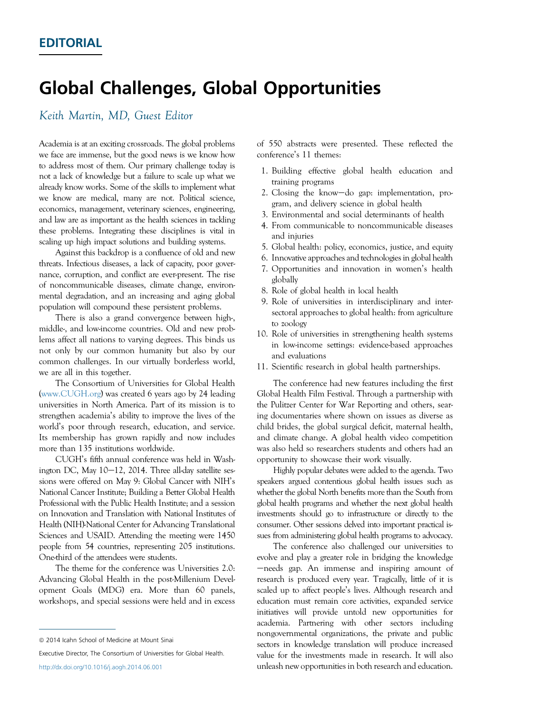## Global Challenges, Global Opportunities

Keith Martin, MD, Guest Editor

Academia is at an exciting crossroads. The global problems we face are immense, but the good news is we know how to address most of them. Our primary challenge today is not a lack of knowledge but a failure to scale up what we already know works. Some of the skills to implement what we know are medical, many are not. Political science, economics, management, veterinary sciences, engineering, and law are as important as the health sciences in tackling these problems. Integrating these disciplines is vital in scaling up high impact solutions and building systems.

Against this backdrop is a confluence of old and new threats. Infectious diseases, a lack of capacity, poor governance, corruption, and conflict are ever-present. The rise of noncommunicable diseases, climate change, environmental degradation, and an increasing and aging global population will compound these persistent problems.

There is also a grand convergence between high-, middle-, and low-income countries. Old and new problems affect all nations to varying degrees. This binds us not only by our common humanity but also by our common challenges. In our virtually borderless world, we are all in this together.

The Consortium of Universities for Global Health ([www.CUGH.org\)](http://www.cugh.org) was created 6 years ago by 24 leading universities in North America. Part of its mission is to strengthen academia's ability to improve the lives of the world's poor through research, education, and service. Its membership has grown rapidly and now includes more than 135 institutions worldwide.

CUGH's fifth annual conference was held in Washington DC, May  $10-12$ , 2014. Three all-day satellite sessions were offered on May 9: Global Cancer with NIH's National Cancer Institute; Building a Better Global Health Professional with the Public Health Institute; and a session on Innovation and Translation with National Institutes of Health (NIH)-National Center for Advancing Translational Sciences and USAID. Attending the meeting were 1450 people from 54 countries, representing 205 institutions. One-third of the attendees were students.

The theme for the conference was Universities 2.0: Advancing Global Health in the post-Millenium Development Goals (MDG) era. More than 60 panels, workshops, and special sessions were held and in excess

Executive Director, The Consortium of Universities for Global Health.

of 550 abstracts were presented. These reflected the conference's 11 themes:

- 1. Building effective global health education and training programs
- 2. Closing the know-do gap: implementation, program, and delivery science in global health
- 3. Environmental and social determinants of health
- 4. From communicable to noncommunicable diseases and injuries
- 5. Global health: policy, economics, justice, and equity
- 6. Innovative approaches and technologies in global health
- 7. Opportunities and innovation in women's health globally
- 8. Role of global health in local health
- 9. Role of universities in interdisciplinary and intersectoral approaches to global health: from agriculture to zoology
- 10. Role of universities in strengthening health systems in low-income settings: evidence-based approaches and evaluations
- 11. Scientific research in global health partnerships.

The conference had new features including the first Global Health Film Festival. Through a partnership with the Pulitzer Center for War Reporting and others, searing documentaries where shown on issues as diverse as child brides, the global surgical deficit, maternal health, and climate change. A global health video competition was also held so researchers students and others had an opportunity to showcase their work visually.

Highly popular debates were added to the agenda. Two speakers argued contentious global health issues such as whether the global North benefits more than the South from global health programs and whether the next global health investments should go to infrastructure or directly to the consumer. Other sessions delved into important practical issues from administering global health programs to advocacy.

The conference also challenged our universities to evolve and play a greater role in bridging the knowledge -needs gap. An immense and inspiring amount of research is produced every year. Tragically, little of it is scaled up to affect people's lives. Although research and education must remain core activities, expanded service initiatives will provide untold new opportunities for academia. Partnering with other sectors including nongovernmental organizations, the private and public sectors in knowledge translation will produce increased value for the investments made in research. It will also unleash new opportunities in both research and education.

 $©$  2014 Icahn School of Medicine at Mount Sinai

<http://dx.doi.org/10.1016/j.aogh.2014.06.001>